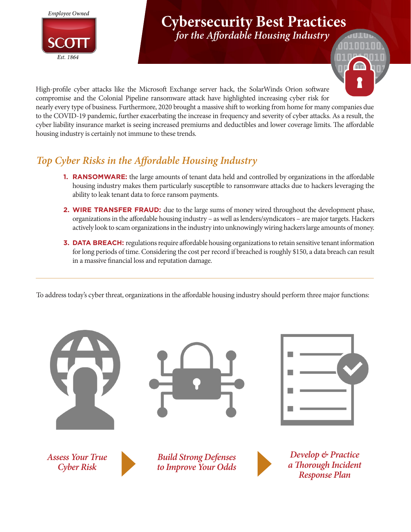

# **Cybersecurity Best Practices**

*for the Affordable Housing Industry*



High-profile cyber attacks like the Microsoft Exchange server hack, the SolarWinds Orion software compromise and the Colonial Pipeline ransomware attack have highlighted increasing cyber risk for nearly every type of business. Furthermore, 2020 brought a massive shift to working from home for many companies due to the COVID-19 pandemic, further exacerbating the increase in frequency and severity of cyber attacks. As a result, the cyber liability insurance market is seeing increased premiums and deductibles and lower coverage limits. The affordable housing industry is certainly not immune to these trends.

# *Top Cyber Risks in the Affordable Housing Industry*

- **1. RANSOMWARE:** the large amounts of tenant data held and controlled by organizations in the affordable housing industry makes them particularly susceptible to ransomware attacks due to hackers leveraging the ability to leak tenant data to force ransom payments.
- **2. WIRE TRANSFER FRAUD:** due to the large sums of money wired throughout the development phase, organizations in the affordable housing industry – as well as lenders/syndicators – are major targets. Hackers actively look to scam organizations in the industry into unknowingly wiring hackers large amounts of money.
- **3. DATA BREACH:** regulations require affordable housing organizations to retain sensitive tenant information for long periods of time. Considering the cost per record if breached is roughly \$150, a data breach can result in a massive financial loss and reputation damage.

To address today's cyber threat, organizations in the affordable housing industry should perform three major functions:

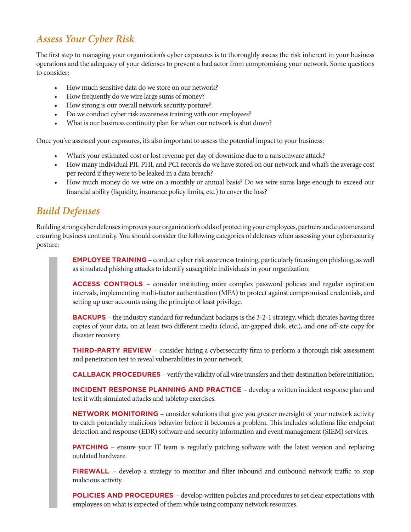# *Assess Your Cyber Risk*

The first step to managing your organization's cyber exposures is to thoroughly assess the risk inherent in your business operations and the adequacy of your defenses to prevent a bad actor from compromising your network. Some questions to consider:

- How much sensitive data do we store on our network?
- How frequently do we wire large sums of money?
- How strong is our overall network security posture?
- Do we conduct cyber risk awareness training with our employees?
- What is our business continuity plan for when our network is shut down?

Once you've assessed your exposures, it's also important to assess the potential impact to your business:

- What's your estimated cost or lost revenue per day of downtime due to a ransomware attack?
- How many individual PII, PHI, and PCI records do we have stored on our network and what's the average cost per record if they were to be leaked in a data breach?
- How much money do we wire on a monthly or annual basis? Do we wire sums large enough to exceed our financial ability (liquidity, insurance policy limits, etc.) to cover the loss?

# *Build Defenses*

Building strong cyber defenses improves your organization's odds of protecting your employees, partners and customers and ensuring business continuity. You should consider the following categories of defenses when assessing your cybersecurity posture:

> **EMPLOYEE TRAINING** – conduct cyber risk awareness training, particularly focusing on phishing, as well as simulated phishing attacks to identify susceptible individuals in your organization.

> **ACCESS CONTROLS** – consider instituting more complex password policies and regular expiration intervals, implementing multi-factor authentication (MFA) to protect against compromised credentials, and setting up user accounts using the principle of least privilege.

> **BACKUPS** – the industry standard for redundant backups is the 3-2-1 strategy, which dictates having three copies of your data, on at least two different media (cloud, air-gapped disk, etc.), and one off-site copy for disaster recovery.

> **THIRD-PARTY REVIEW** – consider hiring a cybersecurity firm to perform a thorough risk assessment and penetration test to reveal vulnerabilities in your network.

> **CALLBACK PROCEDURES** – verify the validity of all wire transfers and their destination before initiation.

**INCIDENT RESPONSE PLANNING AND PRACTICE** – develop a written incident response plan and test it with simulated attacks and tabletop exercises.

**NETWORK MONITORING** – consider solutions that give you greater oversight of your network activity to catch potentially malicious behavior before it becomes a problem. This includes solutions like endpoint detection and response (EDR) software and security information and event management (SIEM) services.

**PATCHING** – ensure your IT team is regularly patching software with the latest version and replacing outdated hardware.

**FIREWALL** – develop a strategy to monitor and filter inbound and outbound network traffic to stop malicious activity.

**POLICIES AND PROCEDURES** – develop written policies and procedures to set clear expectations with employees on what is expected of them while using company network resources.